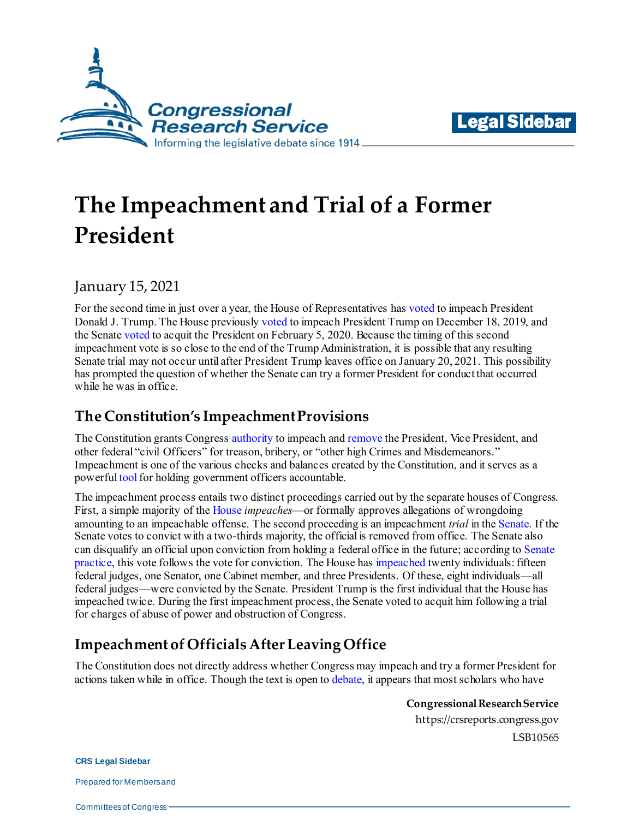



# **The Impeachment and Trial of a Former President**

January 15, 2021

For the second time in just over a year, the House of Representatives has [voted](https://www.congress.gov/bill/116th-congress/house-resolution/755) to impeach President Donald J. Trump. The House previousl[y voted](https://www.congress.gov/bill/116th-congress/house-resolution/755) to impeach President Trump on December 18, 2019, and the Senate [voted](https://www.senate.gov/legislative/LIS/roll_call_lists/roll_call_vote_cfm.cfm?congress=116&session=2&vote=00034) to acquit the President on February 5, 2020. Because the timing of this second impeachment vote is so close to the end of the Trump Administration, it is possible that any resulting Senate trial may not occur until after President Trump leaves office on January 20, 2021. This possibility has prompted the question of whether the Senate can try a former President for conduct that occurred while he was in office.

## **The Constitution's Impeachment Provisions**

The Constitution grants Congres[s authority](https://www.law.cornell.edu/constitution/articleii) to impeach an[d remove](https://www.law.cornell.edu/constitution/articleii) the President, Vice President, and other federal "civil Officers" for treason, bribery, or "other high Crimes and Misdemeanors." Impeachment is one of the various checks and balances created by the Constitution, and it serves as a powerfu[l tool](https://crsreports.congress.gov/product/pdf/R/R46013#_Toc25237028) for holding government officers accountable.

The impeachment process entails two distinct proceedings carried out by the separate houses of Congress. First, a simple majority of th[e House](https://www.law.cornell.edu/constitution/articleii) *impeaches*—or formally approves allegations of wrongdoing amounting to an impeachable offense. The second proceeding is an impeachment *trial* in th[e Senate.](https://www.law.cornell.edu/constitution/articleii) If the Senate votes to convict with a two-thirds majority, the official is removed from office. The Senate also can disqualify an official upon conviction from holding a federal office in the future; according t[o Senate](https://crsreports.congress.gov/product/pdf/R/R46185#_Toc30676088)  [practice,](https://crsreports.congress.gov/product/pdf/R/R46185#_Toc30676088) this vote follows the vote for conviction. The House ha[s impeached](https://history.house.gov/Institution/Impeachment/Impeachment-List/) twenty individuals: fifteen federal judges, one Senator, one Cabinet member, and three Presidents. Of these, eight individuals—all federal judges—were convicted by the Senate. President Trump is the first individual that the House has impeached twice. During the first impeachment process, the Senate voted to acquit him following a trial for charges of abuse of power and obstruction of Congress.

## **Impeachment of Officials After Leaving Office**

The Constitution does not directly address whether Congress may impeach and try a former President for actions taken while in office. Though the text is open t[o debate,](https://reason.com/volokh/2019/12/05/can-the-house-impeach-a-former-president/) it appears that most scholars who have

> **Congressional Research Service** https://crsreports.congress.gov LSB10565

**CRS Legal Sidebar**

Prepared for Members and

Committees of Congress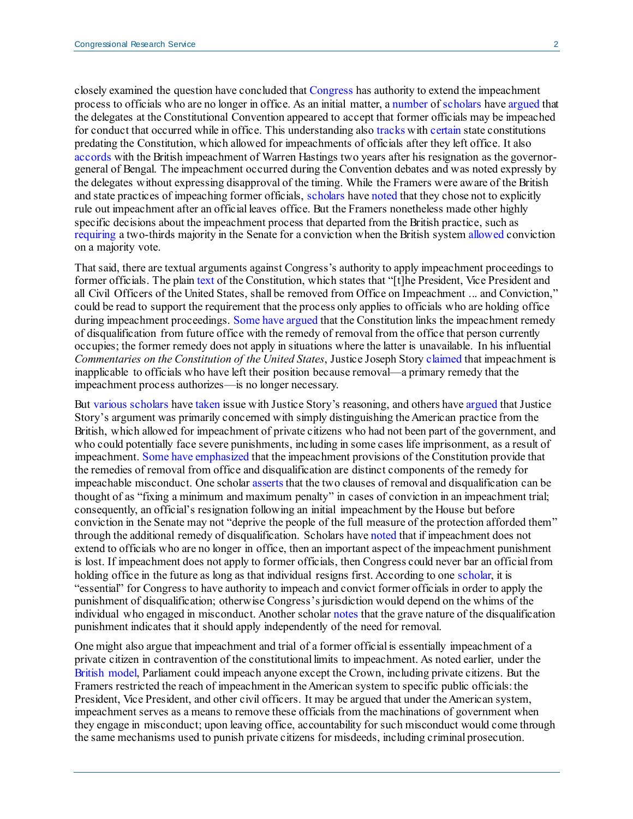closely examined the question have concluded that [Congress](https://catalog.loc.gov/vwebv/search?searchCode=LCCN&searchArg=2018051242&searchType=1&permalink=y) has authority to extend the impeachment process to officials who are no longer in office. As an initial matter, [a number](https://digitalcommons.law.uw.edu/cgi/viewcontent.cgi?article=2032&context=wlr) o[f scholars](https://digitalcommons.law.msu.edu/cgi/viewcontent.cgi?article=1022&context=facpubs#page=42) hav[e argued](https://catalog.loc.gov/vwebv/search?searchCode=LCCN&searchArg=2018051242&searchType=1&permalink=y) that the delegates at the Constitutional Convention appeared to accept that former officials may be impeached for conduct that occurred while in office. This understanding als[o tracks](https://openscholarship.wustl.edu/cgi/viewcontent.cgi?article=5115&context=law_lawreview#page=5) wit[h certain](https://digitalcommons.law.uw.edu/cgi/viewcontent.cgi?article=2032&context=wlr#page=25) state constitutions predating the Constitution, which allowed for impeachments of officials after they left office. It also [accords](https://digitalcommons.law.uw.edu/cgi/viewcontent.cgi?article=2032&context=wlr#page=24) with the British impeachment of Warren Hastings two years after his resignation as the governorgeneral of Bengal. The impeachment occurred during the Convention debates and was noted expressly by the delegates without expressing disapproval of the timing. While the Framers were aware of the British and state practices of impeaching former officials[, scholars](https://openscholarship.wustl.edu/cgi/viewcontent.cgi?article=5115&context=law_lawreview#page=10) hav[e noted](https://reason.com/volokh/2019/12/05/can-the-house-impeach-a-former-president/) that they chose not to explicitly rule out impeachment after an official leaves office. But the Framers nonetheless made other highly specific decisions about the impeachment process that departed from the British practice, such as [requiring](https://www.law.cornell.edu/constitution/articlei#section3) a two-thirds majority in the Senate for a conviction when the British syste[m allowed](https://crsreports.congress.gov/product/pdf/R/R46013#ifn38) conviction on a majority vote.

That said, there are textual arguments against Congress's authority to apply impeachment proceedings to former officials. The plai[n text](https://www.law.cornell.edu/constitution/articleii) of the Constitution, which states that "[t]he President, Vice President and all Civil Officers of the United States, shall be removed from Office on Impeachment ... and Conviction," could be read to support the requirement that the process only applies to officials who are holding office during impeachment proceedings[. Some have argued](https://www.washingtonpost.com/opinions/2021/01/12/once-trump-leaves-office-senate-cant-hold-an-impeachment-trial/) that the Constitution links the impeachment remedy of disqualification from future office with the remedy of removal from the office that person currently occupies; the former remedy does not apply in situations where the latter is unavailable. In his influential *Commentaries on the Constitution of the United States*, Justice Joseph Story [claimed](https://lonang.com/library/reference/story-commentaries-us-constitution/sto-310/) that impeachment is inapplicable to officials who have left their position because removal—a primary remedy that the impeachment process authorizes—is no longer necessary.

But [various](https://openscholarship.wustl.edu/cgi/viewcontent.cgi?article=5115&context=law_lawreview#page=10) [scholars](https://catalog.loc.gov/vwebv/search?searchCode=LCCN&searchArg=2018051242&searchType=1&permalink=y) hav[e taken](https://digitalcommons.law.msu.edu/cgi/viewcontent.cgi?article=1022&context=facpubs#page=111) issue with Justice Story's reasoning, and others hav[e argued](https://uknowledge.uky.edu/cgi/viewcontent.cgi?article=1946&context=klj#page=12) that Justice Story's argument was primarily concerned with simply distinguishing the American practice from the British, which allowed for impeachment of private citizens who had not been part of the government, and who could potentially face severe punishments, including in some cases life imprisonment, as a result of impeachment. [Some](https://digitalcommons.law.uw.edu/cgi/viewcontent.cgi?article=2032&context=wlr#page=26) [have](https://uknowledge.uky.edu/cgi/viewcontent.cgi?article=1946&context=klj#page=11) [emphasized](https://scholarship.law.duke.edu/cgi/viewcontent.cgi?article=2506&context=dlj#page=69) that the impeachment provisions of the Constitution provide that the remedies of removal from office and disqualification are distinct components of the remedy for impeachable misconduct. One schola[r asserts](https://openscholarship.wustl.edu/cgi/viewcontent.cgi?article=5115&context=law_lawreview#page=9) that the two clauses of removal and disqualification can be thought of as "fixing a minimum and maximum penalty" in cases of conviction in an impeachment trial; consequently, an official's resignation following an initial impeachment by the House but before conviction in the Senate may not "deprive the people of the full measure of the protection afforded them" through the additional remedy of disqualification. Scholars hav[e noted](https://scholarship.law.duke.edu/cgi/viewcontent.cgi?article=2506&context=dlj#page=70) that if impeachment does not extend to officials who are no longer in office, then an important aspect of the impeachment punishment is lost. If impeachment does not apply to former officials, then Congress could never bar an official from holding office in the future as long as that individual resigns first. According to on[e scholar](https://digitalcommons.law.msu.edu/cgi/viewcontent.cgi?article=1022&context=facpubs#page=63), it is "essential" for Congress to have authority to impeach and convict former officials in order to apply the punishment of disqualification; otherwise Congress's jurisdiction would depend on the whims of the individual who engaged in misconduct. Another schola[r notes](https://digitalcommons.law.uw.edu/cgi/viewcontent.cgi?article=2032&context=wlr#page=26) that the grave nature of the disqualification punishment indicates that it should apply independently of the need for removal.

One might also argue that impeachment and trial of a former official is essentially impeachment of a private citizen in contravention of the constitutional limits to impeachment. As noted earlier, under the [British model,](https://crsreports.congress.gov/product/pdf/R/R46013#_Toc25237028) Parliament could impeach anyone except the Crown, including private citizens. But the Framers restricted the reach of impeachment in the American system to specific public officials: the President, Vice President, and other civil officers. It may be argued that under the American system, impeachment serves as a means to remove these officials from the machinations of government when they engage in misconduct; upon leaving office, accountability for such misconduct would come through the same mechanisms used to punish private citizens for misdeeds, including criminal prosecution.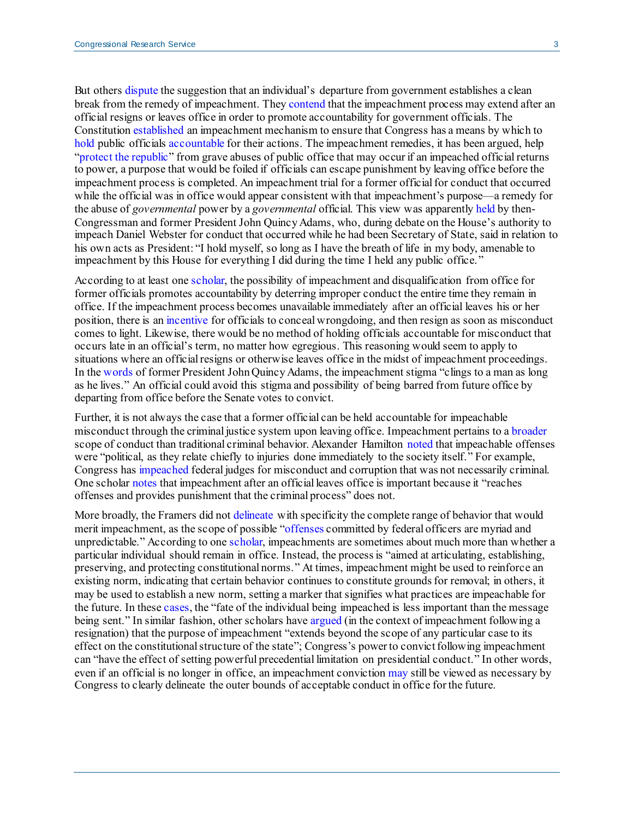But other[s dispute](https://www.justsecurity.org/74107/the-constitutions-option-for-impeachment-after-a-president-leaves-office/) the suggestion that an individual's departure from government establishes a clean break from the remedy of impeachment. The[y contend](https://digitalcommons.law.msu.edu/cgi/viewcontent.cgi?article=1022&context=facpubs#page=59) that the impeachment process may extend after an official resigns or leaves office in order to promote accountability for government officials. The Constitution [established](https://crsreports.congress.gov/product/pdf/R/R46013#_Toc25237028) an impeachment mechanism to ensure that Congress has a means by which to [hold](https://digitalcommons.law.uw.edu/cgi/viewcontent.cgi?article=2032&context=wlr#page=28) public officials [accountable](https://catalog.loc.gov/vwebv/search?searchCode=LCCN&searchArg=2018051242&searchType=1&permalink=y) for their actions. The impeachment remedies, it has been argued, help ["protect the republic"](https://www.justsecurity.org/74107/the-constitutions-option-for-impeachment-after-a-president-leaves-office/) from grave abuses of public office that may occur if an impeached official returns to power, a purpose that would be foiled if officials can escape punishment by leaving office before the impeachment process is completed. An impeachment trial for a former official for conduct that occurred while the official was in office would appear consistent with that impeachment's purpose—a remedy for the abuse of *governmental* power by a *governmental* official. This view was apparentl[y held](https://www.govinfo.gov/content/pkg/GPO-HPREC-DESCHLERS-V3/pdf/GPO-HPREC-DESCHLERS-V3-5.pdf#page=255) by then-Congressman and former President John Quincy Adams, who, during debate on the House's authority to impeach Daniel Webster for conduct that occurred while he had been Secretary of State, said in relation to his own acts as President: "I hold myself, so long as I have the breath of life in my body, amenable to impeachment by this House for everything I did during the time I held any public office."

According to at least on[e scholar,](https://digitalcommons.law.msu.edu/cgi/viewcontent.cgi?article=1022&context=facpubs#page=59) the possibility of impeachment and disqualification from office for former officials promotes accountability by deterring improper conduct the entire time they remain in office. If the impeachment process becomes unavailable immediately after an official leaves his or her position, there is an [incentive](https://digitalcommons.law.msu.edu/cgi/viewcontent.cgi?article=1022&context=facpubs#page=60) for officials to conceal wrongdoing, and then resign as soon as misconduct comes to light. Likewise, there would be no method of holding officials accountable for misconduct that occurs late in an official's term, no matter how egregious. This reasoning would seem to apply to situations where an official resigns or otherwise leaves office in the midst of impeachment proceedings. In the [words](https://digitalcommons.law.uw.edu/cgi/viewcontent.cgi?article=2032&context=wlr#page=26) of former President John Quincy Adams, the impeachment stigma "clings to a man as long as he lives." An official could avoid this stigma and possibility of being barred from future office by departing from office before the Senate votes to convict.

Further, it is not always the case that a former official can be held accountable for impeachable misconduct through the criminal justice system upon leaving office. Impeachment pertains to [a broader](https://crsreports.congress.gov/product/pdf/R/R46013#_Toc25237046) scope of conduct than traditional criminal behavior. Alexander Hamilton [noted](https://avalon.law.yale.edu/18th_century/fed65.asp) that impeachable offenses were "political, as they relate chiefly to injuries done immediately to the society itself." For example, Congress ha[s impeached](https://crsreports.congress.gov/product/pdf/R/R46013#_Toc25237046) federal judges for misconduct and corruption that was not necessarily criminal. One schola[r notes](https://digitalcommons.law.msu.edu/cgi/viewcontent.cgi?article=1022&context=facpubs#page=60) that impeachment after an official leaves office is important because it "reaches offenses and provides punishment that the criminal process" does not.

More broadly, the Framers did no[t delineate](http://resources.utulsa.edu/law/classes/rice/Constitutional/Storey/story_hist_const_senate.html) with specificity the complete range of behavior that would merit impeachment, as the scope of possible ["offenses](https://papers.ssrn.com/sol3/papers.cfm?abstract_id=3328981) committed by federal officers are myriad and unpredictable." According to on[e scholar,](https://papers.ssrn.com/sol3/papers.cfm?abstract_id=3328981) impeachments are sometimes about much more than whether a particular individual should remain in office. Instead, the process is "aimed at articulating, establishing, preserving, and protecting constitutional norms." At times, impeachment might be used to reinforce an existing norm, indicating that certain behavior continues to constitute grounds for removal; in others, it may be used to establish a new norm, setting a marker that signifies what practices are impeachable for the future. In thes[e cases](https://papers.ssrn.com/sol3/papers.cfm?abstract_id=3328981), the "fate of the individual being impeached is less important than the message being sent." In similar fashion, other scholars hav[e argued](https://scholarship.law.duke.edu/cgi/viewcontent.cgi?article=2506&context=dlj#page=70) (in the context of impeachment following a resignation) that the purpose of impeachment "extends beyond the scope of any particular case to its effect on the constitutional structure of the state"; Congress's power to convict following impeachment can "have the effect of setting powerful precedential limitation on presidential conduct." In other words, even if an official is no longer in office, an impeachment convictio[n may](https://digitalcommons.law.msu.edu/cgi/viewcontent.cgi?article=1022&context=facpubs#page=116) still be viewed as necessary by Congress to clearly delineate the outer bounds of acceptable conduct in office for the future.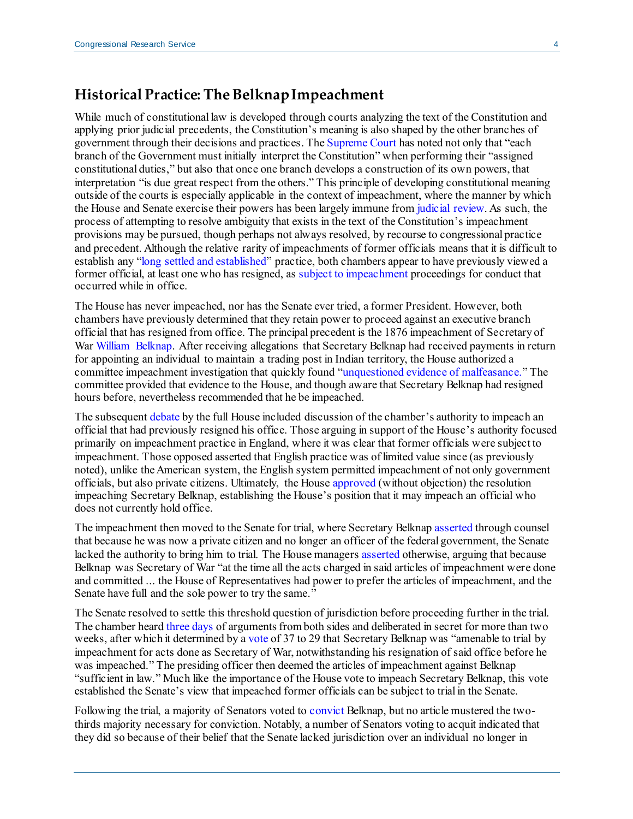#### **Historical Practice: The Belknap Impeachment**

While much of constitutional law is developed through courts analyzing the text of the Constitution and applying prior judicial precedents, the Constitution's meaning is also shaped by the other branches of government through their decisions and practices. Th[e Supreme Court](https://scholar.google.com/scholar_case?case=5132513257326080850&q=nnixon+executive+privlege&hl=en&as_sdt=20006) has noted not only that "each branch of the Government must initially interpret the Constitution" when performing their "assigned constitutional duties," but also that once one branch develops a construction of its own powers, that interpretation "is due great respect from the others." This principle of developing constitutional meaning outside of the courts is especially applicable in the context of impeachment, where the manner by which the House and Senate exercise their powers has been largely immune fro[m judicial review.](https://crsreports.congress.gov/product/pdf/R/R46013#_Toc25237055) As such, the process of attempting to resolve ambiguity that exists in the text of the Constitution's impeachment provisions may be pursued, though perhaps not always resolved, by recourse to congressional practice and precedent. Although the relative rarity of impeachments of former officials means that it is difficult to establish any ["long settled and established"](https://scholar.google.com/scholar_case?case=4536583214702810760&q=279+U.S.+655&hl=en&as_sdt=20006) practice, both chambers appear to have previously viewed a former official, at least one who has resigned, as [subject to impeachment](https://www.govinfo.gov/content/pkg/GPO-HPRACTICE-115/pdf/GPO-HPRACTICE-115.pdf#page=615) proceedings for conduct that occurred while in office.

The House has never impeached, nor has the Senate ever tried, a former President. However, both chambers have previously determined that they retain power to proceed against an executive branch official that has resigned from office. The principal precedent is the 1876 impeachment of Secretary of Wa[r William Belknap.](https://www.govinfo.gov/content/pkg/GPO-HPREC-HINDS-V3/pdf/GPO-HPREC-HINDS-V3-26.pdf) After receiving allegations that Secretary Belknap had received payments in return for appointing an individual to maintain a trading post in Indian territory, the House authorized a committee impeachment investigation that quickly found ["unquestioned evidence of malfeasance."](https://www.govinfo.gov/content/pkg/GPO-HPREC-HINDS-V3/pdf/GPO-HPREC-HINDS-V3-26.pdf#page=2) The committee provided that evidence to the House, and though aware that Secretary Belknap had resigned hours before, nevertheless recommended that he be impeached.

The subsequen[t debate](https://www.govinfo.gov/content/pkg/GPO-HPREC-HINDS-V3/pdf/GPO-HPREC-HINDS-V3-26.pdf#page=3) by the full House included discussion of the chamber's authority to impeach an official that had previously resigned his office. Those arguing in support of the House's authority focused primarily on impeachment practice in England, where it was clear that former officials were subject to impeachment. Those opposed asserted that English practice was of limited value since (as previously noted), unlike the American system, the English system permitted impeachment of not only government officials, but also private citizens. Ultimately, the House [approved](https://www.govinfo.gov/content/pkg/GPO-HPREC-HINDS-V3/pdf/GPO-HPREC-HINDS-V3-26.pdf#page=4) (without objection) the resolution impeaching Secretary Belknap, establishing the House's position that it may impeach an official who does not currently hold office.

The impeachment then moved to the Senate for trial, where Secretary Belknap [asserted](https://www.govinfo.gov/content/pkg/GPO-HPREC-HINDS-V3/pdf/GPO-HPREC-HINDS-V3-26.pdf#page=18) through counsel that because he was now a private citizen and no longer an officer of the federal government, the Senate lacked the authority to bring him to trial. The House manager[s asserted](https://www.govinfo.gov/content/pkg/GPO-HPREC-HINDS-V3/pdf/GPO-HPREC-HINDS-V3-26.pdf#page=20) otherwise, arguing that because Belknap was Secretary of War "at the time all the acts charged in said articles of impeachment were done and committed ... the House of Representatives had power to prefer the articles of impeachment, and the Senate have full and the sole power to try the same."

The Senate resolved to settle this threshold question of jurisdiction before proceeding further in the trial. The chamber hear[d three days](https://www.govinfo.gov/content/pkg/GPO-HPREC-HINDS-V3/pdf/GPO-HPREC-HINDS-V3-26.pdf#page=32) of arguments from both sides and deliberated in secret for more than two weeks, after which it determined by a [vote](https://www.govinfo.gov/content/pkg/GPO-HPREC-HINDS-V3/pdf/GPO-HPREC-HINDS-V3-26.pdf#page=33) of 37 to 29 that Secretary Belknap was "amenable to trial by impeachment for acts done as Secretary of War, notwithstanding his resignation of said office before he was impeached." The presiding officer then deemed the articles of impeachment against Belknap "sufficient in law." Much like the importance of the House vote to impeach Secretary Belknap, this vote established the Senate's view that impeached former officials can be subject to trial in the Senate.

Following the trial, a majority of Senators voted t[o convict](https://www.senate.gov/artandhistory/history/minute/War_Secretarys_Impeachment_Trial.htm) Belknap, but no article mustered the twothirds majority necessary for conviction. Notably, a number of Senators voting to acquit indicated that they did so because of their belief that the Senate lacked jurisdiction over an individual no longer in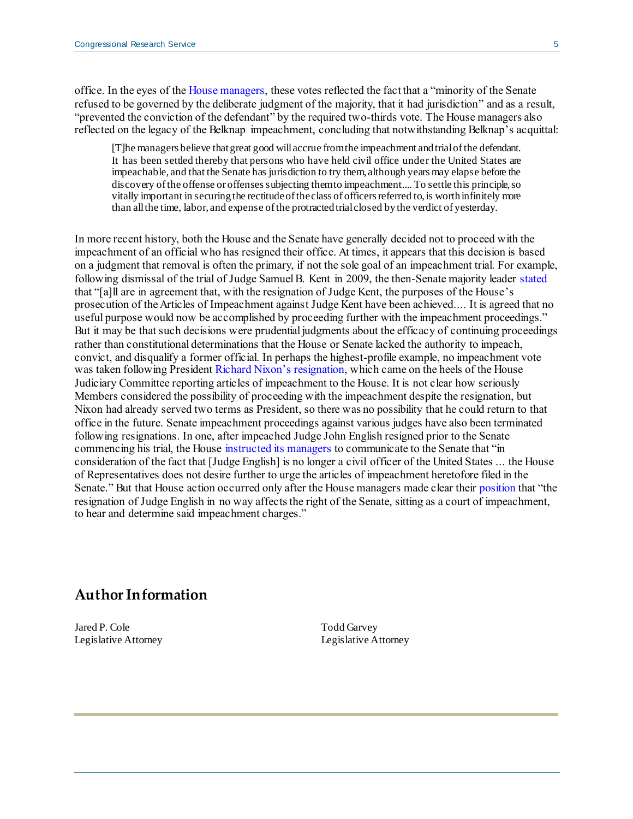office. In the eyes of th[e House managers,](https://www.govinfo.gov/content/pkg/GPO-HPREC-HINDS-V3/pdf/GPO-HPREC-HINDS-V3-26.pdf#page=45) these votes reflected the fact that a "minority of the Senate refused to be governed by the deliberate judgment of the majority, that it had jurisdiction" and as a result, "prevented the conviction of the defendant" by the required two-thirds vote. The House managers also reflected on the legacy of the Belknap impeachment, concluding that notwithstanding Belknap's acquittal:

[T]he managers believe that great good will accrue from the impeachment and trial of the defendant. It has been settled thereby that persons who have held civil office under the United States are impeachable, and that the Senate has jurisdiction to try them, although years may elapse before the discovery of the offense or offenses subjecting them to impeachment.... To settle this principle, so vitally important in securing the rectitude of the class of officers referred to, is worth infinitely more than all the time, labor, and expense of the protracted trial closed by the verdict of yesterday.

In more recent history, both the House and the Senate have generally decided not to proceed with the impeachment of an official who has resigned their office. At times, it appears that this decision is based on a judgment that removal is often the primary, if not the sole goal of an impeachment trial. For example, following dismissal of the trial of Judge Samuel B. Kent in 2009, the then-Senate majority leader [stated](https://www.govinfo.gov/content/pkg/CRECB-2009-pt14/pdf/CRECB-2009-pt14-Pg18696-3.pdf) that "[a]ll are in agreement that, with the resignation of Judge Kent, the purposes of the House's prosecution of the Articles of Impeachment against Judge Kent have been achieved.... It is agreed that no useful purpose would now be accomplished by proceeding further with the impeachment proceedings." But it may be that such decisions were prudential judgments about the efficacy of continuing proceedings rather than constitutional determinations that the House or Senate lacked the authority to impeach, convict, and disqualify a former official. In perhaps the highest-profile example, no impeachment vote was taken following Presiden[t Richard Nixon's resignation,](https://www.govinfo.gov/content/pkg/GPO-HPREC-DESCHLERS-V3/html/GPO-HPREC-DESCHLERS-V3-5-5-2.htm) which came on the heels of the House Judiciary Committee reporting articles of impeachment to the House. It is not clear how seriously Members considered the possibility of proceeding with the impeachment despite the resignation, but Nixon had already served two terms as President, so there was no possibility that he could return to that office in the future. Senate impeachment proceedings against various judges have also been terminated following resignations. In one, after impeached Judge John English resigned prior to the Senate commencing his trial, the House [instructed its managers](https://www.govinfo.gov/content/pkg/GPO-HPREC-DESCHLERS-V3/pdf/GPO-HPREC-DESCHLERS-V3-5-5-3.pdf#page=4) to communicate to the Senate that "in consideration of the fact that [Judge English] is no longer a civil officer of the United States ... the House of Representatives does not desire further to urge the articles of impeachment heretofore filed in the Senate." But that House action occurred only after the House managers made clear thei[r position](https://www.govinfo.gov/app/details/GPO-CRECB-1927-pt1-v68/) that "the resignation of Judge English in no way affects the right of the Senate, sitting as a court of impeachment, to hear and determine said impeachment charges."

#### **Author Information**

Jared P. Cole Legislative Attorney

Todd Garvey Legislative Attorney